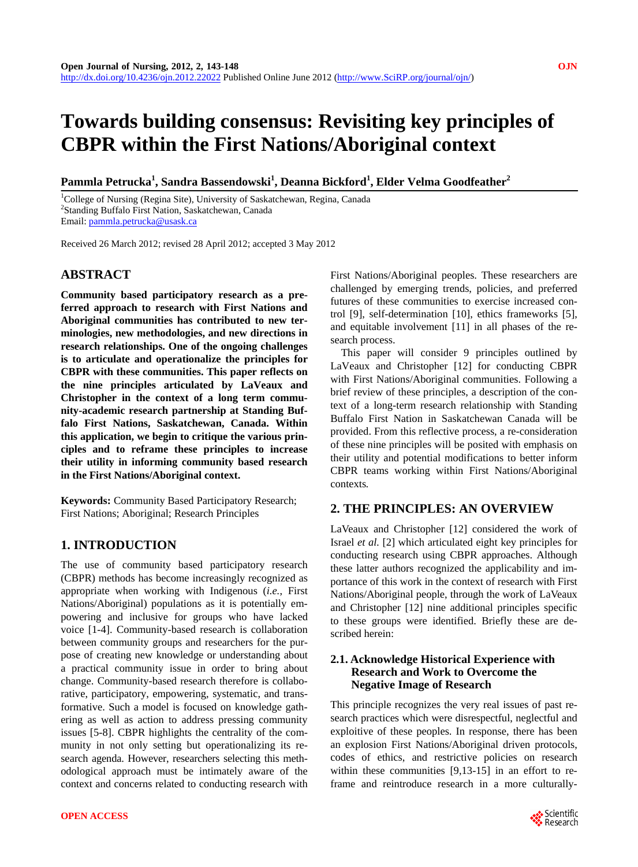# **Towards building consensus: Revisiting key principles of CBPR within the First Nations/Aboriginal context**

 $\mathbf{P}$ ammla Petrucka $^1$ , Sandra Bassendowski $^1$ , Deanna Bickford $^1$ , Elder Velma Goodfeather $^2$ 

<sup>1</sup>College of Nursing (Regina Site), University of Saskatchewan, Regina, Canada <sup>2</sup>Standing Buffalo First Nation, Saskatchewan, Canada <sup>2</sup>Standing Buffalo First Nation, Saskatchewan, Canada Email: [pammla.petrucka@usask.ca](mailto:pammla.petrucka@usask.ca)

Received 26 March 2012; revised 28 April 2012; accepted 3 May 2012

# **ABSTRACT**

**Community based participatory research as a preferred approach to research with First Nations and Aboriginal communities has contributed to new terminologies, new methodologies, and new directions in research relationships. One of the ongoing challenges is to articulate and operationalize the principles for CBPR with these communities. This paper reflects on the nine principles articulated by LaVeaux and Christopher in the context of a long term community-academic research partnership at Standing Buffalo First Nations, Saskatchewan, Canada. Within this application, we begin to critique the various principles and to reframe these principles to increase their utility in informing community based research in the First Nations/Aboriginal context.** 

**Keywords:** Community Based Participatory Research; First Nations; Aboriginal; Research Principles

# **1. INTRODUCTION**

The use of community based participatory research (CBPR) methods has become increasingly recognized as appropriate when working with Indigenous (*i.e.*, First Nations/Aboriginal) populations as it is potentially empowering and inclusive for groups who have lacked voice [1-4]. Community-based research is collaboration between community groups and researchers for the purpose of creating new knowledge or understanding about a practical community issue in order to bring about change. Community-based research therefore is collaborative, participatory, empowering, systematic, and transformative. Such a model is focused on knowledge gathering as well as action to address pressing community issues [5-8]. CBPR highlights the centrality of the community in not only setting but operationalizing its research agenda. However, researchers selecting this methodological approach must be intimately aware of the context and concerns related to conducting research with

First Nations/Aboriginal peoples. These researchers are challenged by emerging trends, policies, and preferred futures of these communities to exercise increased control [9], self-determination [10], ethics frameworks [5], and equitable involvement [11] in all phases of the research process.

This paper will consider 9 principles outlined by LaVeaux and Christopher [12] for conducting CBPR with First Nations/Aboriginal communities. Following a brief review of these principles, a description of the context of a long-term research relationship with Standing Buffalo First Nation in Saskatchewan Canada will be provided. From this reflective process, a re-consideration of these nine principles will be posited with emphasis on their utility and potential modifications to better inform CBPR teams working within First Nations/Aboriginal contexts*.* 

# **2. THE PRINCIPLES: AN OVERVIEW**

LaVeaux and Christopher [12] considered the work of Israel *et al.* [2] which articulated eight key principles for conducting research using CBPR approaches. Although these latter authors recognized the applicability and importance of this work in the context of research with First Nations/Aboriginal people, through the work of LaVeaux and Christopher [12] nine additional principles specific to these groups were identified. Briefly these are described herein:

# **2.1. Acknowledge Historical Experience with Research and Work to Overcome the Negative Image of Research**

This principle recognizes the very real issues of past research practices which were disrespectful, neglectful and exploitive of these peoples. In response, there has been an explosion First Nations/Aboriginal driven protocols, codes of ethics, and restrictive policies on research within these communities [9,13-15] in an effort to reframe and reintroduce research in a more culturally-

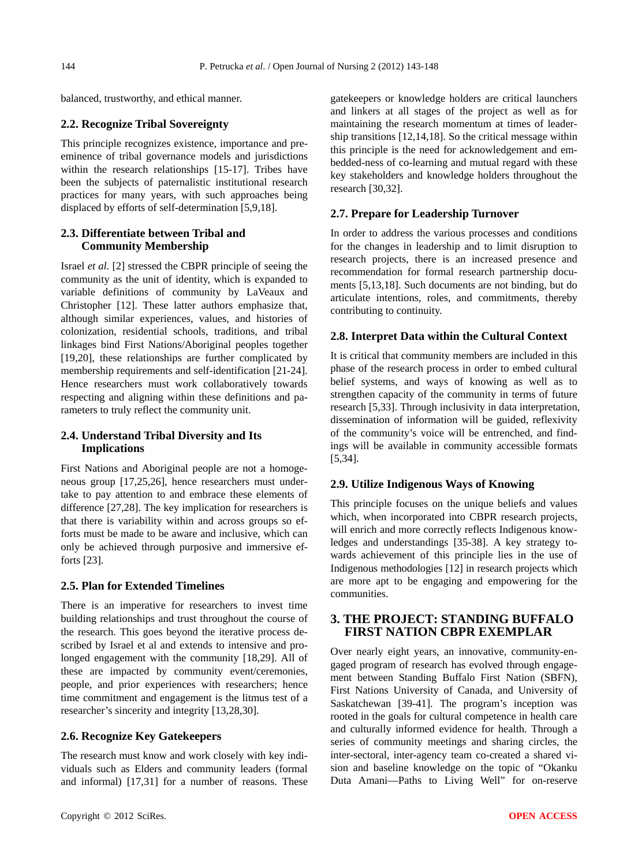balanced, trustworthy, and ethical manner.

#### **2.2. Recognize Tribal Sovereignty**

This principle recognizes existence, importance and preeminence of tribal governance models and jurisdictions within the research relationships [15-17]. Tribes have been the subjects of paternalistic institutional research practices for many years, with such approaches being displaced by efforts of self-determination [5,9,18].

# **2.3. Differentiate between Tribal and Community Membership**

Israel *et al.* [2] stressed the CBPR principle of seeing the community as the unit of identity, which is expanded to variable definitions of community by LaVeaux and Christopher [12]. These latter authors emphasize that, although similar experiences, values, and histories of colonization, residential schools, traditions, and tribal linkages bind First Nations/Aboriginal peoples together [19,20], these relationships are further complicated by membership requirements and self-identification [21-24]. Hence researchers must work collaboratively towards respecting and aligning within these definitions and parameters to truly reflect the community unit.

## **2.4. Understand Tribal Diversity and Its Implications**

First Nations and Aboriginal people are not a homogeneous group [17,25,26], hence researchers must undertake to pay attention to and embrace these elements of difference [27,28]. The key implication for researchers is that there is variability within and across groups so efforts must be made to be aware and inclusive, which can only be achieved through purposive and immersive efforts [23].

## **2.5. Plan for Extended Timelines**

There is an imperative for researchers to invest time building relationships and trust throughout the course of the research. This goes beyond the iterative process described by Israel et al and extends to intensive and prolonged engagement with the community [18,29]. All of these are impacted by community event/ceremonies, people, and prior experiences with researchers; hence time commitment and engagement is the litmus test of a researcher's sincerity and integrity [13,28,30].

#### **2.6. Recognize Key Gatekeepers**

The research must know and work closely with key individuals such as Elders and community leaders (formal and informal) [17,31] for a number of reasons. These

gatekeepers or knowledge holders are critical launchers and linkers at all stages of the project as well as for maintaining the research momentum at times of leadership transitions [12,14,18]. So the critical message within this principle is the need for acknowledgement and embedded-ness of co-learning and mutual regard with these key stakeholders and knowledge holders throughout the research [30,32].

## **2.7. Prepare for Leadership Turnover**

In order to address the various processes and conditions for the changes in leadership and to limit disruption to research projects, there is an increased presence and recommendation for formal research partnership documents [5,13,18]. Such documents are not binding, but do articulate intentions, roles, and commitments, thereby contributing to continuity.

## **2.8. Interpret Data within the Cultural Context**

It is critical that community members are included in this phase of the research process in order to embed cultural belief systems, and ways of knowing as well as to strengthen capacity of the community in terms of future research [5,33]. Through inclusivity in data interpretation, dissemination of information will be guided, reflexivity of the community's voice will be entrenched, and findings will be available in community accessible formats [5,34].

## **2.9. Utilize Indigenous Ways of Knowing**

This principle focuses on the unique beliefs and values which, when incorporated into CBPR research projects, will enrich and more correctly reflects Indigenous knowledges and understandings [35-38]. A key strategy towards achievement of this principle lies in the use of Indigenous methodologies [12] in research projects which are more apt to be engaging and empowering for the communities.

## **3. THE PROJECT: STANDING BUFFALO FIRST NATION CBPR EXEMPLAR**

Over nearly eight years, an innovative, community-engaged program of research has evolved through engagement between Standing Buffalo First Nation (SBFN), First Nations University of Canada, and University of Saskatchewan [39-41]. The program's inception was rooted in the goals for cultural competence in health care and culturally informed evidence for health. Through a series of community meetings and sharing circles, the inter-sectoral, inter-agency team co-created a shared vision and baseline knowledge on the topic of "Okanku Duta Amani—Paths to Living Well" for on-reserve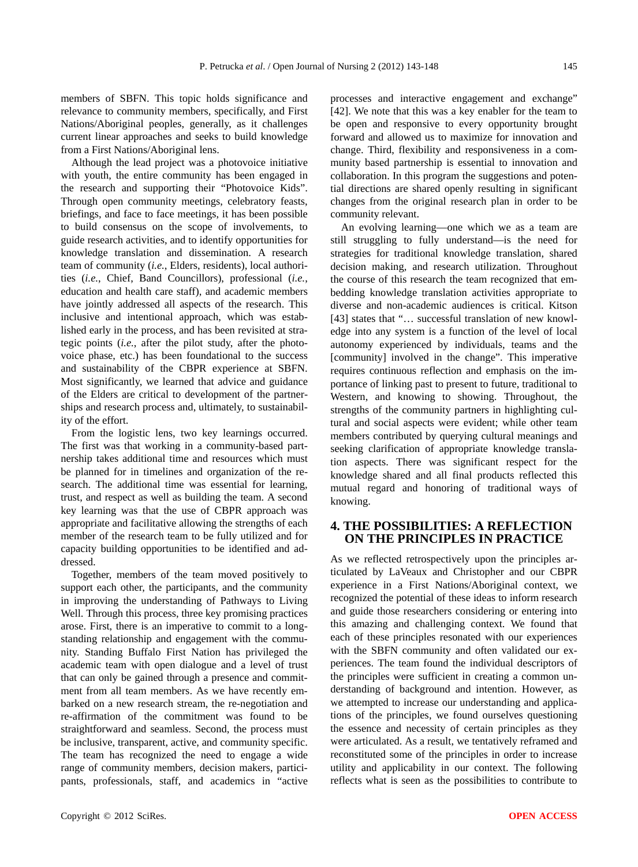members of SBFN. This topic holds significance and relevance to community members, specifically, and First Nations/Aboriginal peoples, generally, as it challenges current linear approaches and seeks to build knowledge from a First Nations/Aboriginal lens.

Although the lead project was a photovoice initiative with youth, the entire community has been engaged in the research and supporting their "Photovoice Kids". Through open community meetings, celebratory feasts, briefings, and face to face meetings, it has been possible to build consensus on the scope of involvements, to guide research activities, and to identify opportunities for knowledge translation and dissemination. A research team of community (*i.e.*, Elders, residents), local authorities (*i.e.*, Chief, Band Councillors), professional (*i.e.*, education and health care staff), and academic members have jointly addressed all aspects of the research. This inclusive and intentional approach, which was established early in the process, and has been revisited at strategic points (*i.e.*, after the pilot study, after the photovoice phase, etc.) has been foundational to the success and sustainability of the CBPR experience at SBFN. Most significantly, we learned that advice and guidance of the Elders are critical to development of the partnerships and research process and, ultimately, to sustainability of the effort.

From the logistic lens, two key learnings occurred. The first was that working in a community-based partnership takes additional time and resources which must be planned for in timelines and organization of the research. The additional time was essential for learning, trust, and respect as well as building the team. A second key learning was that the use of CBPR approach was appropriate and facilitative allowing the strengths of each member of the research team to be fully utilized and for capacity building opportunities to be identified and addressed.

Together, members of the team moved positively to support each other, the participants, and the community in improving the understanding of Pathways to Living Well. Through this process, three key promising practices arose. First, there is an imperative to commit to a longstanding relationship and engagement with the community. Standing Buffalo First Nation has privileged the academic team with open dialogue and a level of trust that can only be gained through a presence and commitment from all team members. As we have recently embarked on a new research stream, the re-negotiation and re-affirmation of the commitment was found to be straightforward and seamless. Second, the process must be inclusive, transparent, active, and community specific. The team has recognized the need to engage a wide range of community members, decision makers, participants, professionals, staff, and academics in "active

processes and interactive engagement and exchange" [42]. We note that this was a key enabler for the team to be open and responsive to every opportunity brought forward and allowed us to maximize for innovation and change. Third, flexibility and responsiveness in a community based partnership is essential to innovation and collaboration. In this program the suggestions and potential directions are shared openly resulting in significant changes from the original research plan in order to be community relevant.

An evolving learning—one which we as a team are still struggling to fully understand—is the need for strategies for traditional knowledge translation, shared decision making, and research utilization. Throughout the course of this research the team recognized that embedding knowledge translation activities appropriate to diverse and non-academic audiences is critical. Kitson [43] states that "... successful translation of new knowledge into any system is a function of the level of local autonomy experienced by individuals, teams and the [community] involved in the change". This imperative requires continuous reflection and emphasis on the importance of linking past to present to future, traditional to Western, and knowing to showing. Throughout, the strengths of the community partners in highlighting cultural and social aspects were evident; while other team members contributed by querying cultural meanings and seeking clarification of appropriate knowledge translation aspects. There was significant respect for the knowledge shared and all final products reflected this mutual regard and honoring of traditional ways of knowing.

## **4. THE POSSIBILITIES: A REFLECTION ON THE PRINCIPLES IN PRACTICE**

As we reflected retrospectively upon the principles articulated by LaVeaux and Christopher and our CBPR experience in a First Nations/Aboriginal context, we recognized the potential of these ideas to inform research and guide those researchers considering or entering into this amazing and challenging context. We found that each of these principles resonated with our experiences with the SBFN community and often validated our experiences. The team found the individual descriptors of the principles were sufficient in creating a common understanding of background and intention. However, as we attempted to increase our understanding and applications of the principles, we found ourselves questioning the essence and necessity of certain principles as they were articulated. As a result, we tentatively reframed and reconstituted some of the principles in order to increase utility and applicability in our context. The following reflects what is seen as the possibilities to contribute to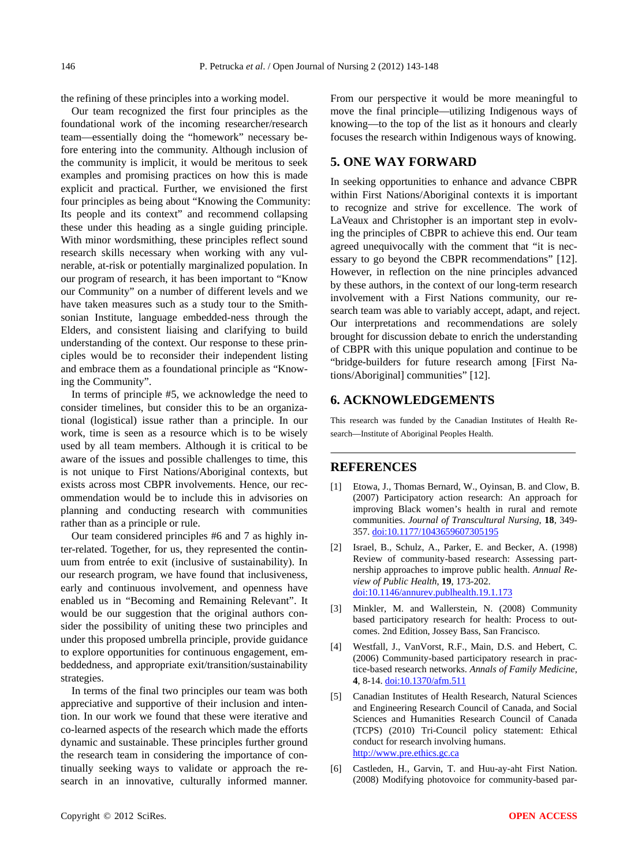the refining of these principles into a working model.

Our team recognized the first four principles as the foundational work of the incoming researcher/research team—essentially doing the "homework" necessary before entering into the community. Although inclusion of the community is implicit, it would be meritous to seek examples and promising practices on how this is made explicit and practical. Further, we envisioned the first four principles as being about "Knowing the Community: Its people and its context" and recommend collapsing these under this heading as a single guiding principle. With minor wordsmithing, these principles reflect sound research skills necessary when working with any vulnerable, at-risk or potentially marginalized population. In our program of research, it has been important to "Know our Community" on a number of different levels and we have taken measures such as a study tour to the Smithsonian Institute, language embedded-ness through the Elders, and consistent liaising and clarifying to build understanding of the context. Our response to these principles would be to reconsider their independent listing and embrace them as a foundational principle as "Knowing the Community".

In terms of principle #5, we acknowledge the need to consider timelines, but consider this to be an organizational (logistical) issue rather than a principle. In our work, time is seen as a resource which is to be wisely used by all team members. Although it is critical to be aware of the issues and possible challenges to time, this is not unique to First Nations/Aboriginal contexts, but exists across most CBPR involvements. Hence, our recommendation would be to include this in advisories on planning and conducting research with communities rather than as a principle or rule.

Our team considered principles #6 and 7 as highly inter-related. Together, for us, they represented the continuum from entrée to exit (inclusive of sustainability). In our research program, we have found that inclusiveness, early and continuous involvement, and openness have enabled us in "Becoming and Remaining Relevant". It would be our suggestion that the original authors consider the possibility of uniting these two principles and under this proposed umbrella principle, provide guidance to explore opportunities for continuous engagement, embeddedness, and appropriate exit/transition/sustainability strategies.

In terms of the final two principles our team was both appreciative and supportive of their inclusion and intention. In our work we found that these were iterative and co-learned aspects of the research which made the efforts dynamic and sustainable. These principles further ground the research team in considering the importance of continually seeking ways to validate or approach the research in an innovative, culturally informed manner. From our perspective it would be more meaningful to move the final principle—utilizing Indigenous ways of knowing—to the top of the list as it honours and clearly focuses the research within Indigenous ways of knowing.

# **5. ONE WAY FORWARD**

In seeking opportunities to enhance and advance CBPR within First Nations/Aboriginal contexts it is important to recognize and strive for excellence. The work of LaVeaux and Christopher is an important step in evolving the principles of CBPR to achieve this end. Our team agreed unequivocally with the comment that "it is necessary to go beyond the CBPR recommendations" [12]. However, in reflection on the nine principles advanced by these authors, in the context of our long-term research involvement with a First Nations community, our research team was able to variably accept, adapt, and reject. Our interpretations and recommendations are solely brought for discussion debate to enrich the understanding of CBPR with this unique population and continue to be "bridge-builders for future research among [First Nations/Aboriginal] communities" [12].

# **6. ACKNOWLEDGEMENTS**

This research was funded by the Canadian Institutes of Health Research—Institute of Aboriginal Peoples Health.

## **REFERENCES**

- [1] Etowa, J., Thomas Bernard, W., Oyinsan, B. and Clow, B. (2007) Participatory action research: An approach for improving Black women's health in rural and remote communities. *Journal of Transcultural Nursing*, **18**, 349- 357. [doi:10.1177/1043659607305195](http://dx.doi.org/10.1177/1043659607305195)
- [2] Israel, B., Schulz, A., Parker, E. and Becker, A. (1998) Review of community-based research: Assessing partnership approaches to improve public health. *Annual Review of Public Health*, **19**, 173-202. [doi:10.1146/annurev.publhealth.19.1.173](http://dx.doi.org/10.1146/annurev.publhealth.19.1.173)
- [3] Minkler, M. and Wallerstein, N. (2008) Community based participatory research for health: Process to outcomes. 2nd Edition, Jossey Bass, San Francisco.
- [4] Westfall, J., VanVorst, R.F., Main, D.S. and Hebert, C. (2006) Community-based participatory research in practice-based research networks. *Annals of Family Medicine*, **4**, 8-14. [doi:10.1370/afm.511](http://dx.doi.org/10.1370/afm.511)
- [5] Canadian Institutes of Health Research, Natural Sciences and Engineering Research Council of Canada, and Social Sciences and Humanities Research Council of Canada (TCPS) (2010) Tri-Council policy statement: Ethical conduct for research involving humans. [http://www.pre.ethics.gc.ca](http://www.pre.ethics.gc.ca/)
- [6] Castleden, H., Garvin, T. and Huu-ay-aht First Nation. (2008) Modifying photovoice for community-based par-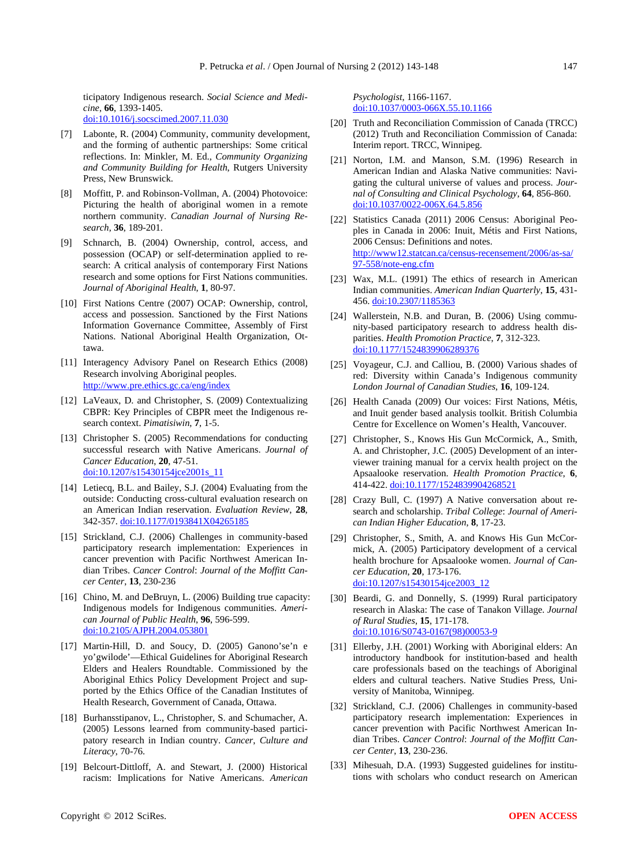ticipatory Indigenous research. *Social Science and Medicine*, **66**, 1393-1405. doi:10.1016/j.socscimed.2007.11.030

- [7] Labonte, R. (2004) Community, community development, and the forming of authentic partnerships: Some critical reflections. In: Minkler, M. Ed., *Community Organizing and Community Building for Health*, Rutgers University Press, New Brunswick.
- [8] Moffitt, P. and Robinson-Vollman, A. (2004) Photovoice: Picturing the health of aboriginal women in a remote northern community. *Canadian Journal of Nursing Research*, **36**, 189-201.
- [9] Schnarch, B. (2004) Ownership, control, access, and possession (OCAP) or self-determination applied to research: A critical analysis of contemporary First Nations research and some options for First Nations communities. *Journal of Aboriginal Health*, **1**, 80-97.
- [10] First Nations Centre (2007) OCAP: Ownership, control, access and possession. Sanctioned by the First Nations Information Governance Committee, Assembly of First Nations. National Aboriginal Health Organization, Ottawa.
- [11] Interagency Advisory Panel on Research Ethics (2008) Research involving Aboriginal peoples. <http://www.pre.ethics.gc.ca/eng/index>
- [12] LaVeaux, D. and Christopher, S. (2009) Contextualizing CBPR: Key Principles of CBPR meet the Indigenous research context. *Pimatisiwin*, **7**, 1-5.
- [13] Christopher S. (2005) Recommendations for conducting successful research with Native Americans. *Journal of Cancer Education*, **20**, 47-51. [doi:10.1207/s15430154jce2001s\\_11](http://dx.doi.org/10.1207/s15430154jce2001s_11)
- [14] Letiecq, B.L. and Bailey, S.J. (2004) Evaluating from the outside: Conducting cross-cultural evaluation research on an American Indian reservation. *Evaluation Review*, **28**, 342-357. [doi:10.1177/0193841X04265185](http://dx.doi.org/10.1177/0193841X04265185)
- [15] Strickland, C.J. (2006) Challenges in community-based participatory research implementation: Experiences in cancer prevention with Pacific Northwest American Indian Tribes. *Cancer Control*: *Journal of the Moffitt Cancer Center*, **13**, 230-236
- [16] Chino, M. and DeBruyn, L. (2006) Building true capacity: Indigenous models for Indigenous communities. *American Journal of Public Health*, **96**, 596-599. [doi:10.2105/AJPH.2004.053801](http://dx.doi.org/10.2105/AJPH.2004.053801)
- [17] Martin-Hill, D. and Soucy, D. (2005) Ganono'se'n e yo'gwilode'—Ethical Guidelines for Aboriginal Research Elders and Healers Roundtable. Commissioned by the Aboriginal Ethics Policy Development Project and supported by the Ethics Office of the Canadian Institutes of Health Research, Government of Canada, Ottawa.
- [18] Burhansstipanov, L., Christopher, S. and Schumacher, A. (2005) Lessons learned from community-based participatory research in Indian country. *Cancer*, *Culture and Literacy*, 70-76.
- [19] Belcourt-Dittloff, A. and Stewart, J. (2000) Historical racism: Implications for Native Americans. *American*

*Psychologist*, 1166-1167. [doi:10.1037/0003-066X.55.10.1166](http://dx.doi.org/10.1037/0003-066X.55.10.1166)

- [20] Truth and Reconciliation Commission of Canada (TRCC) (2012) Truth and Reconciliation Commission of Canada: Interim report. TRCC, Winnipeg.
- [21] Norton, I.M. and Manson, S.M. (1996) Research in American Indian and Alaska Native communities: Navigating the cultural universe of values and process. *Journal of Consulting and Clinical Psychology*, **64**, 856-860. [doi:10.1037/0022-006X.64.5.856](http://dx.doi.org/10.1037/0022-006X.64.5.856)
- [22] Statistics Canada (2011) 2006 Census: Aboriginal Peoples in Canada in 2006: Inuit, Métis and First Nations, 2006 Census: Definitions and notes. [http://www12.statcan.ca/census-recensement/2006/as-sa/](http://www12.statcan.ca/census-recensement/2006/as-sa/97-558/note-eng.cfm) [97-558/note-eng.cfm](http://www12.statcan.ca/census-recensement/2006/as-sa/97-558/note-eng.cfm)
- [23] Wax, M.L. (1991) The ethics of research in American Indian communities. *American Indian Quarterly*, **15**, 431- 456. [doi:10.2307/1185363](http://dx.doi.org/10.2307/1185363)
- [24] Wallerstein, N.B. and Duran, B. (2006) Using community-based participatory research to address health disparities. *Health Promotion Practice*, **7**, 312-323. [doi:10.1177/1524839906289376](http://dx.doi.org/10.1177/1524839906289376)
- [25] Voyageur, C.J. and Calliou, B. (2000) Various shades of red: Diversity within Canada's Indigenous community *London Journal of Canadian Studies*, **16**, 109-124.
- [26] Health Canada (2009) Our voices: First Nations, Métis, and Inuit gender based analysis toolkit. British Columbia Centre for Excellence on Women's Health, Vancouver.
- [27] Christopher, S., Knows His Gun McCormick, A., Smith, A. and Christopher, J.C. (2005) Development of an interviewer training manual for a cervix health project on the Apsaalooke reservation. *Health Promotion Practice*, **6**, 414-422. [doi:10.1177/1524839904268521](http://dx.doi.org/10.1177/1524839904268521)
- [28] Crazy Bull, C. (1997) A Native conversation about research and scholarship. *Tribal College*: *Journal of American Indian Higher Education*, **8**, 17-23.
- [29] Christopher, S., Smith, A. and Knows His Gun McCormick, A. (2005) Participatory development of a cervical health brochure for Apsaalooke women. *Journal of Cancer Education*, **20**, 173-176. [doi:10.1207/s15430154jce2003\\_12](http://dx.doi.org/10.1207/s15430154jce2003_12)
- [30] Beardi, G. and Donnelly, S. (1999) Rural participatory research in Alaska: The case of Tanakon Village. *Journal of Rural Studies*, **15**, 171-178. [doi:10.1016/S0743-0167\(98\)00053-9](http://dx.doi.org/10.1016/S0743-0167%2898%2900053-9)
- [31] Ellerby, J.H. (2001) Working with Aboriginal elders: An introductory handbook for institution-based and health care professionals based on the teachings of Aboriginal elders and cultural teachers. Native Studies Press, University of Manitoba, Winnipeg.
- [32] Strickland, C.J. (2006) Challenges in community-based participatory research implementation: Experiences in cancer prevention with Pacific Northwest American Indian Tribes. *Cancer Control*: *Journal of the Moffitt Cancer Center*, **13**, 230-236.
- [33] Mihesuah, D.A. (1993) Suggested guidelines for institutions with scholars who conduct research on American